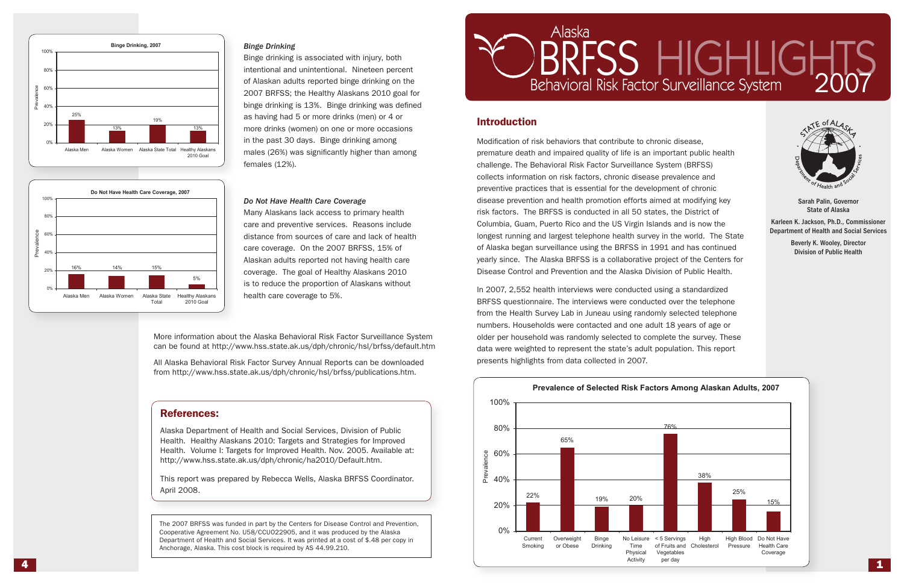Modification of risk behaviors that contribute to chronic disease, premature death and impaired quality of life is an important public health challenge. The Behavioral Risk Factor Surveillance System (BRFSS) collects information on risk factors, chronic disease prevalence and preventive practices that is essential for the development of chronic disease prevention and health promotion efforts aimed at modifying key risk factors. The BRFSS is conducted in all 50 states, the District of Columbia, Guam, Puerto Rico and the US Virgin Islands and is now the longest running and largest telephone health survey in the world. The State of Alaska began surveillance using the BRFSS in 1991 and has continued yearly since. The Alaska BRFSS is a collaborative project of the Centers for Disease Control and Prevention and the Alaska Division of Public Health.

In 2007, 2,552 health interviews were conducted using a standardized BRFSS questionnaire. The interviews were conducted over the telephone from the Health Survey Lab in Juneau using randomly selected telephone numbers. Households were contacted and one adult 18 years of age or older per household was randomly selected to complete the survey. These data were weighted to represent the state's adult population. This report presents highlights from data collected in 2007. Hampore: Households were contacted and one dual 20 years  $\mu$ uer per nousenoiu was ranuomiy selecteu to complete the



## Introduction



Sarah Palin, Governor State of Alaska

Karleen K. Jackson, Ph.D., Commissioner Department of Health and Social Services

> Beverly K. Wooley, Director Division of Public Health

### *Binge Drinking*

Binge drinking is associated with injury, both intentional and unintentional. Nineteen percent of Alaskan adults reported binge drinking on the 2007 BRFSS; the Healthy Alaskans 2010 goal for binge drinking is 13%. Binge drinking was defined as having had 5 or more drinks (men) or 4 or more drinks (women) on one or more occasions in the past 30 days. Binge drinking among males (26%) was significantly higher than among females (12%).

#### *Do Not Have Health Care Coverage*

Many Alaskans lack access to primary health care and preventive services. Reasons include distance from sources of care and lack of health care coverage. On the 2007 BRFSS, 15% of Alaskan adults reported not having health care coverage. The goal of Healthy Alaskans 2010 is to reduce the proportion of Alaskans without health care coverage to 5%.





## References:

Alaska Department of Health and Social Services, Division of Public Health. Healthy Alaskans 2010: Targets and Strategies for Improved Health. Volume I: Targets for Improved Health. Nov. 2005. Available at: http://www.hss.state.ak.us/dph/chronic/ha2010/Default.htm.

This report was prepared by Rebecca Wells, Alaska BRFSS Coordinator. April 2008.

# RFSS HIGHLIGH



The 2007 BRFSS was funded in part by the Centers for Disease Control and Prevention, Cooperative Agreement No. U58/CCUO22905, and it was produced by the Alaska Department of Health and Social Services. It was printed at a cost of \$.48 per copy in Anchorage, Alaska. This cost block is required by AS 44.99.210.

More information about the Alaska Behavioral Risk Factor Surveillance System can be found at http://www.hss.state.ak.us/dph/chronic/hsl/brfss/default.htm

All Alaska Behavioral Risk Factor Survey Annual Reports can be downloaded from http://www.hss.state.ak.us/dph/chronic/hsl/brfss/publications.htm.